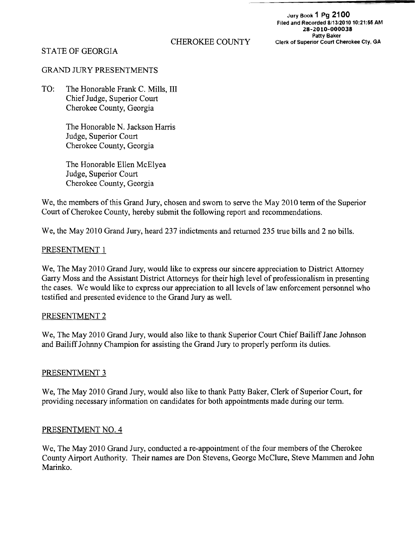**Jury Book 1 Pg 21 00 Filed and Recorded 811312010 10:21:55 AM 28-2010-000038 Patty Baker**  CHEROKEE COUNTY **Clerk of Superior court Cherokee Cty. GA** 

### STATE OF GEORGIA

#### GRAND JURY PRESENTMENTS

TO: The Honorable Frank C. Mills, III Chief Judge, Superior Court Cherokee County, Georgia

> The Honorable N. Jackson Harris Judge, Superior Court Cherokee County, Georgia

The Honorable Ellen McElyea Judge, Superior Court Cherokee County, Georgia

We, the members of this Grand Jury, chosen and sworn to serve the May 2010 term of the Superior Court of Cherokee County, hereby submit the following report and recommendations.

We, the May 2010 Grand Jury, heard 237 indictments and returned 235 true bills and 2 no bills.

#### PRESENTMENT 1

We, The May 2010 Grand Jury, would like to express our sincere appreciation to District Attorney Garry Moss and the Assistant District Attorneys for their high level of professionalism in presenting the cases. We would like to express our appreciation to all levels of law enforcement personnel who testified and presented evidence to the Grand Jury as well.

#### PRESENTMENT 2

We, The May 2010 Grand Jury, would also like to thank Superior Court Chief Bailiff Jane Johnson and Bailiff Johnny Champion for assisting the Grand Jury to properly perform its duties.

#### PRESENTMENT 3

We, The May 2010 Grand Jury, would also like to thank Patty Baker, Clerk of Superior Court, for providing necessary information on candidates for both appointments made during our term.

#### PRESENTMENT NO. 4

We, The May 2010 Grand Jury, conducted a re-appointment of the four members of the Cherokee County Airport Authority. Their names are Don Stevens, George McClure, Steve Mammen and John Marinko.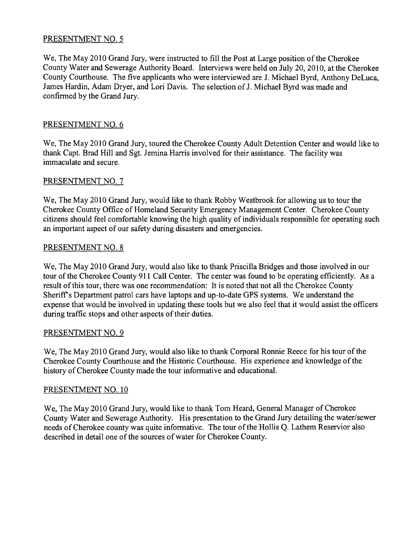# PRESENTMENT NO. 5

We, The May 2010 Grand Jury, were instructed to fill the Post at Large position of the Cherokee County Water and Sewerage Authority Board. Interviews were held on July 20, 2010, at the Cherokee County Courthouse. The five applicants who were interviewed are J. Michael Byrd, Anthony DeLuca, James Hardin, Adam Dryer, and Lori Davis. The selection of J. Michael Byrd was made and confirmed by the Grand Jury.

# PRESENTMENT NO. 6

We, The May 2010 Grand Jury, toured the Cherokee County Adult Detention Center and would like to thank Capt. Brad Hill and Sgt. Jemina Harris involved for their assistance. The facility was immaculate and secure.

## PRESENTMENT NO. 7

We, The May 2010 Grand Jury, would like to thank Robby Westbrook for allowing us to tour the Cherokee County Office of Homeland Security Emergency Management Center. Cherokee County citizens should feel comfortable knowing the high quality of individuals responsible for operating such an important aspect of our safety during disasters and emergencies.

## PRESENTMENT NO. 8

We, The May 2010 Grand Jury, would also like to thank Priscilla Bridges and those involved in our tour of the Cherokee County 911 Call Center. The center was found to be operating efficiently. As a result of this tour, there was one recommendation: It is noted that not all the Cherokee County Sheriff's Department patrol cars have laptops and up-to-date GPS systems. We understand the expense that would be involved in updating these tools but we also feel that it would assist the officers during traffic stops and other aspects of their duties.

## PRESENTMENT NO. 9

We, The May 2010 Grand Jury, would also like to thank Corporal Ronnie Reece for his tour of the Cherokee County Courthouse and the Historic Courthouse. His experience and knowledge of the history of Cherokee County made the tour informative and educational.

## PRESENTMENT NO. 10

We, The May 2010 Grand Jury, would like to thank Tom Heard, General Manager of Cherokee County Water and Sewerage Authority. His presentation to the Grand Jury detailing the water/sewer needs of Cherokee county was quite informative. The tour of the Hollis Q. Lathem Reservior also described in detail one of the sources of water for Cherokee County.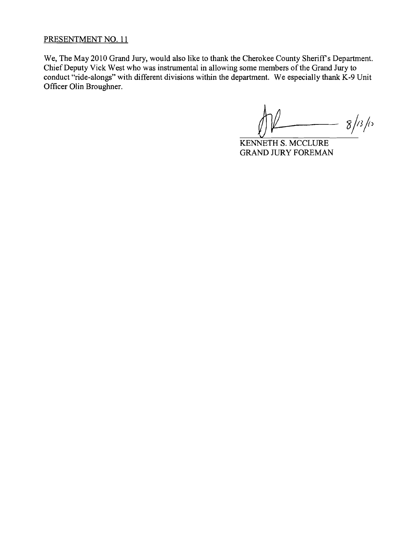# PRESENTMENT NO. 11

We, The May 2010 Grand Jury, would also like to thank the Cherokee County Sheriff's Department. Chief Deputy Vick West who was instrumental in allowing some members of the Grand Jury to conduct "ride-alongs" with different divisions within the department. We especially thank K-9 Unit Officer Olin Broughner.

 $8/13/15$ 

KENNETH S. MCCLURE GRAND JURY FOREMAN